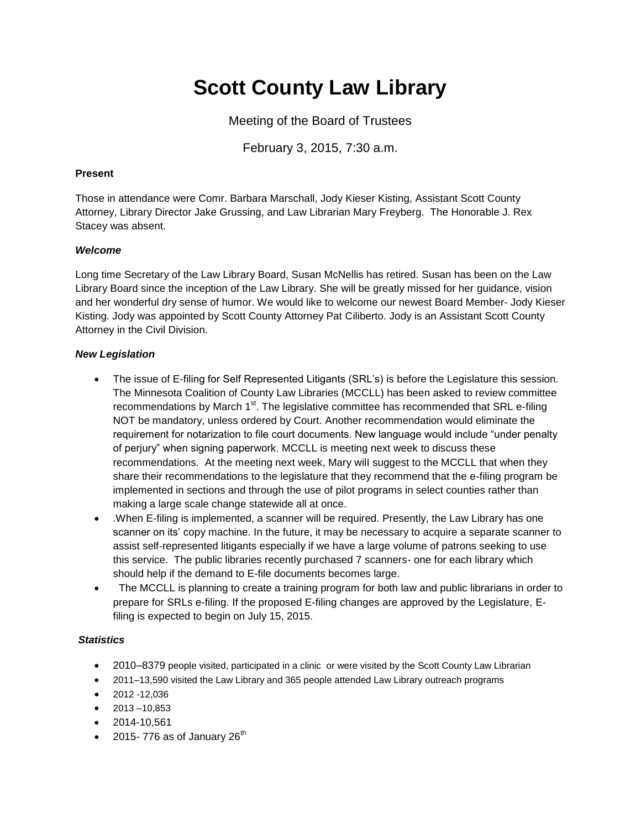# **Scott County Law Library**

Meeting of the Board of Trustees

February 3, 2015, 7:30 a.m.

### **Present**

Those in attendance were Comr. Barbara Marschall, Jody Kieser Kisting, Assistant Scott County Attorney, Library Director Jake Grussing, and Law Librarian Mary Freyberg. The Honorable J. Rex Stacey was absent.

# *Welcome*

Long time Secretary of the Law Library Board, Susan McNellis has retired. Susan has been on the Law Library Board since the inception of the Law Library. She will be greatly missed for her guidance, vision and her wonderful dry sense of humor. We would like to welcome our newest Board Member- Jody Kieser Kisting. Jody was appointed by Scott County Attorney Pat Ciliberto. Jody is an Assistant Scott County Attorney in the Civil Division.

# *New Legislation*

- The issue of E-filing for Self Represented Litigants (SRL's) is before the Legislature this session. The Minnesota Coalition of County Law Libraries (MCCLL) has been asked to review committee recommendations by March  $1<sup>st</sup>$ . The legislative committee has recommended that SRL e-filing NOT be mandatory, unless ordered by Court. Another recommendation would eliminate the requirement for notarization to file court documents. New language would include "under penalty of perjury" when signing paperwork. MCCLL is meeting next week to discuss these recommendations. At the meeting next week, Mary wilI suggest to the MCCLL that when they share their recommendations to the legislature that they recommend that the e-filing program be implemented in sections and through the use of pilot programs in select counties rather than making a large scale change statewide all at once.
- .When E-filing is implemented, a scanner will be required. Presently, the Law Library has one scanner on its' copy machine. In the future, it may be necessary to acquire a separate scanner to assist self-represented litigants especially if we have a large volume of patrons seeking to use this service. The public libraries recently purchased 7 scanners- one for each library which should help if the demand to E-file documents becomes large.
- The MCCLL is planning to create a training program for both law and public librarians in order to prepare for SRLs e-filing. If the proposed E-filing changes are approved by the Legislature, Efiling is expected to begin on July 15, 2015.

### *Statistics*

- 2010–8379 people visited, participated in a clinic or were visited by the Scott County Law Librarian
- 2011–13,590 visited the Law Library and 365 people attended Law Library outreach programs
- $2012 12.036$
- $\bullet$  2013 –10,853
- 2014-10,561
- $\bullet$  2015- 776 as of January 26<sup>th</sup>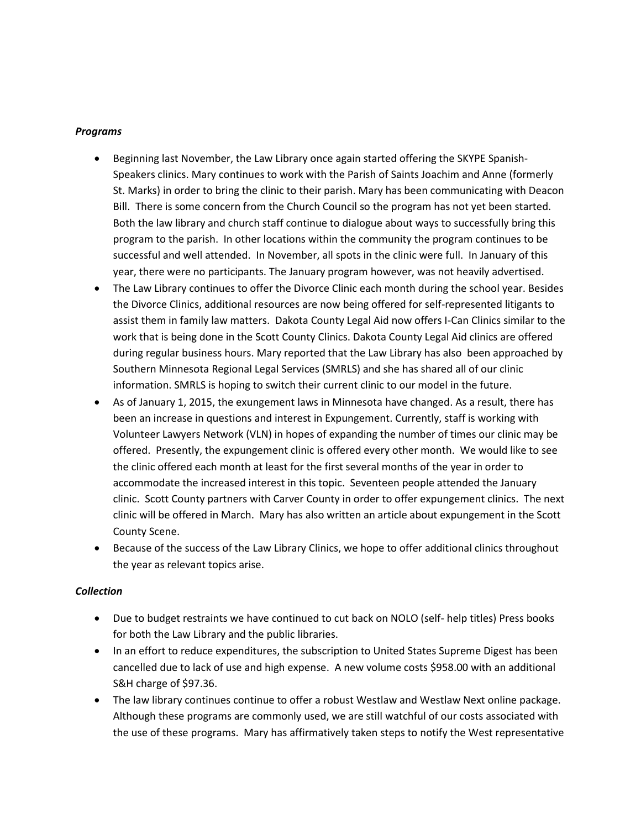#### *Programs*

- Beginning last November, the Law Library once again started offering the SKYPE Spanish-Speakers clinics. Mary continues to work with the Parish of Saints Joachim and Anne (formerly St. Marks) in order to bring the clinic to their parish. Mary has been communicating with Deacon Bill. There is some concern from the Church Council so the program has not yet been started. Both the law library and church staff continue to dialogue about ways to successfully bring this program to the parish. In other locations within the community the program continues to be successful and well attended. In November, all spots in the clinic were full. In January of this year, there were no participants. The January program however, was not heavily advertised.
- The Law Library continues to offer the Divorce Clinic each month during the school year. Besides the Divorce Clinics, additional resources are now being offered for self-represented litigants to assist them in family law matters. Dakota County Legal Aid now offers I-Can Clinics similar to the work that is being done in the Scott County Clinics. Dakota County Legal Aid clinics are offered during regular business hours. Mary reported that the Law Library has also been approached by Southern Minnesota Regional Legal Services (SMRLS) and she has shared all of our clinic information. SMRLS is hoping to switch their current clinic to our model in the future.
- As of January 1, 2015, the exungement laws in Minnesota have changed. As a result, there has been an increase in questions and interest in Expungement. Currently, staff is working with Volunteer Lawyers Network (VLN) in hopes of expanding the number of times our clinic may be offered. Presently, the expungement clinic is offered every other month. We would like to see the clinic offered each month at least for the first several months of the year in order to accommodate the increased interest in this topic. Seventeen people attended the January clinic. Scott County partners with Carver County in order to offer expungement clinics. The next clinic will be offered in March. Mary has also written an article about expungement in the Scott County Scene.
- Because of the success of the Law Library Clinics, we hope to offer additional clinics throughout the year as relevant topics arise.

### *Collection*

- Due to budget restraints we have continued to cut back on NOLO (self- help titles) Press books for both the Law Library and the public libraries.
- In an effort to reduce expenditures, the subscription to United States Supreme Digest has been cancelled due to lack of use and high expense. A new volume costs \$958.00 with an additional S&H charge of \$97.36.
- The law library continues continue to offer a robust Westlaw and Westlaw Next online package. Although these programs are commonly used, we are still watchful of our costs associated with the use of these programs. Mary has affirmatively taken steps to notify the West representative